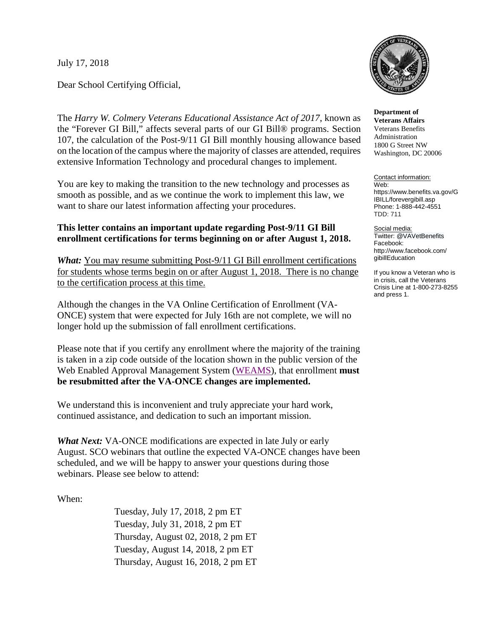July 17, 2018

Dear School Certifying Official,

The *Harry W. Colmery Veterans Educational Assistance Act of 2017*, known as the "Forever GI Bill," affects several parts of our GI Bill® programs. Section 107, the calculation of the Post-9/11 GI Bill monthly housing allowance based on the location of the campus where the majority of classes are attended, requires extensive Information Technology and procedural changes to implement.

You are key to making the transition to the new technology and processes as smooth as possible, and as we continue the work to implement this law, we want to share our latest information affecting your procedures.

## **This letter contains an important update regarding Post-9/11 GI Bill enrollment certifications for terms beginning on or after August 1, 2018.**

*What:* You may resume submitting Post-9/11 GI Bill enrollment certifications for students whose terms begin on or after August 1, 2018. There is no change to the certification process at this time.

Although the changes in the VA Online Certification of Enrollment (VA-ONCE) system that were expected for July 16th are not complete, we will no longer hold up the submission of fall enrollment certifications.

Please note that if you certify any enrollment where the majority of the training is taken in a zip code outside of the location shown in the public version of the Web Enabled Approval Management System [\(WEAMS\)](https://inquiry.vba.va.gov/weamspub/buildSearchCountryCriteria.do), that enrollment **must be resubmitted after the VA-ONCE changes are implemented.**

We understand this is inconvenient and truly appreciate your hard work, continued assistance, and dedication to such an important mission.

*What Next:* VA-ONCE modifications are expected in late July or early August. SCO webinars that outline the expected VA-ONCE changes have been scheduled, and we will be happy to answer your questions during those webinars. Please see below to attend:

When:

Tuesday, July 17, 2018, 2 pm ET Tuesday, July 31, 2018, 2 pm ET Thursday, August 02, 2018, 2 pm ET Tuesday, August 14, 2018, 2 pm ET Thursday, August 16, 2018, 2 pm ET



**Department of Veterans Affairs** Veterans Benefits Administration 1800 G Street NW Washington, DC 20006

Contact information: Web: https://www.benefits.va.gov/G IBILL/forevergibill.asp Phone: 1-888-442-4551 TDD: 711

Social media: Twitter: @VAVetBenefits Facebook: http://www.facebook.com/ gibillEducation

If you know a Veteran who is in crisis, call the Veterans Crisis Line at 1-800-273-8255 and press 1.